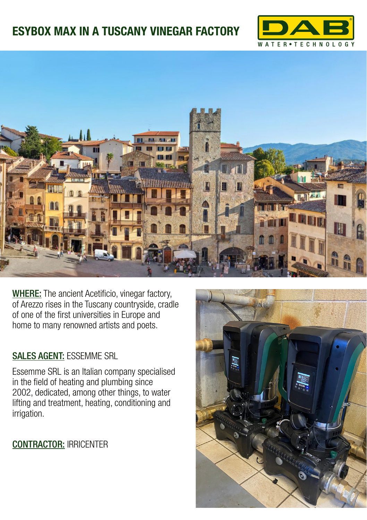## **ESYBOX MAX IN A TUSCANY VINEGAR FACTORY**





WHERE: The ancient Acetificio, vinegar factory, of Arezzo rises in the Tuscany countryside, cradle of one of the first universities in Europe and home to many renowned artists and poets.

## SALES AGENT: ESSEMME SRL

Essemme SRL is an Italian company specialised in the field of heating and plumbing since 2002, dedicated, among other things, to water lifting and treatment, heating, conditioning and irrigation.

CONTRACTOR: IRRICENTER